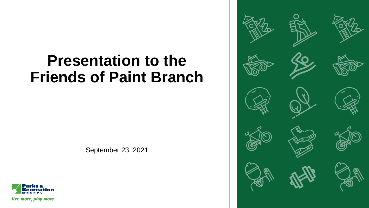# **Presentation to the Friends of Paint Branch**

September 23, 2021



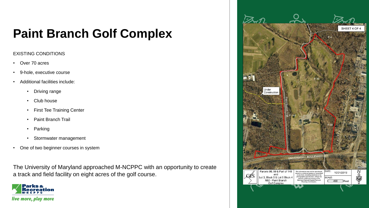#### **Paint Branch Golf Complex**

#### EXISTING CONDITIONS

- Over 70 acres
- 9-hole, executive course
- Additional facilities include:
	- Driving range
	- Club house
	- First Tee Training Center
	- Paint Branch Trail
	- Parking
	- Stormwater management
- One of two beginner courses in system

The University of Maryland approached M-NCPPC with an opportunity to create a track and field facility on eight acres of the golf course.



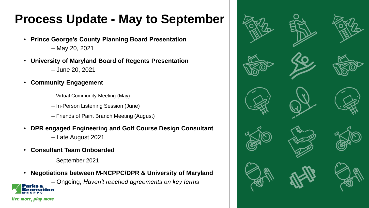### **Process Update - May to September**

- **Prince George's County Planning Board Presentation**  – May 20, 2021
- **University of Maryland Board of Regents Presentation**  – June 20, 2021
- **Community Engagement**
	- Virtual Community Meeting (May)
	- In-Person Listening Session (June)
	- Friends of Paint Branch Meeting (August)
- **DPR engaged Engineering and Golf Course Design Consultant**
	- Late August 2021
- **Consultant Team Onboarded**

live more, play more

- September 2021
- **Negotiations between M-NCPPC/DPR & University of Maryland**

– Ongoing, *Haven't reached agreements on key terms*

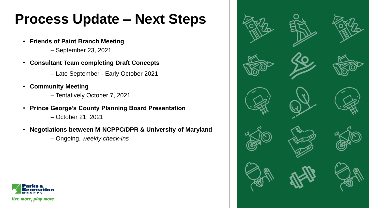## **Process Update – Next Steps**

- **Friends of Paint Branch Meeting**
	- September 23, 2021
- **Consultant Team completing Draft Concepts** 
	- Late September Early October 2021
- **Community Meeting**
	- Tentatively October 7, 2021
- **Prince George's County Planning Board Presentation** 
	- October 21, 2021
- **Negotiations between M-NCPPC/DPR & University of Maryland** 
	- Ongoing, *weekly check-ins*



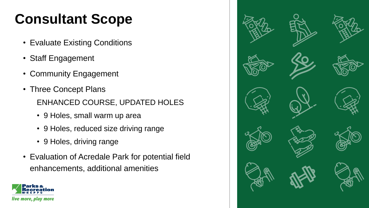# **Consultant Scope**

- Evaluate Existing Conditions
- Staff Engagement
- Community Engagement
- Three Concept Plans ENHANCED COURSE, UPDATED HOLES
	- 9 Holes, small warm up area
	- 9 Holes, reduced size driving range
	- 9 Holes, driving range
- Evaluation of Acredale Park for potential field enhancements, additional amenities